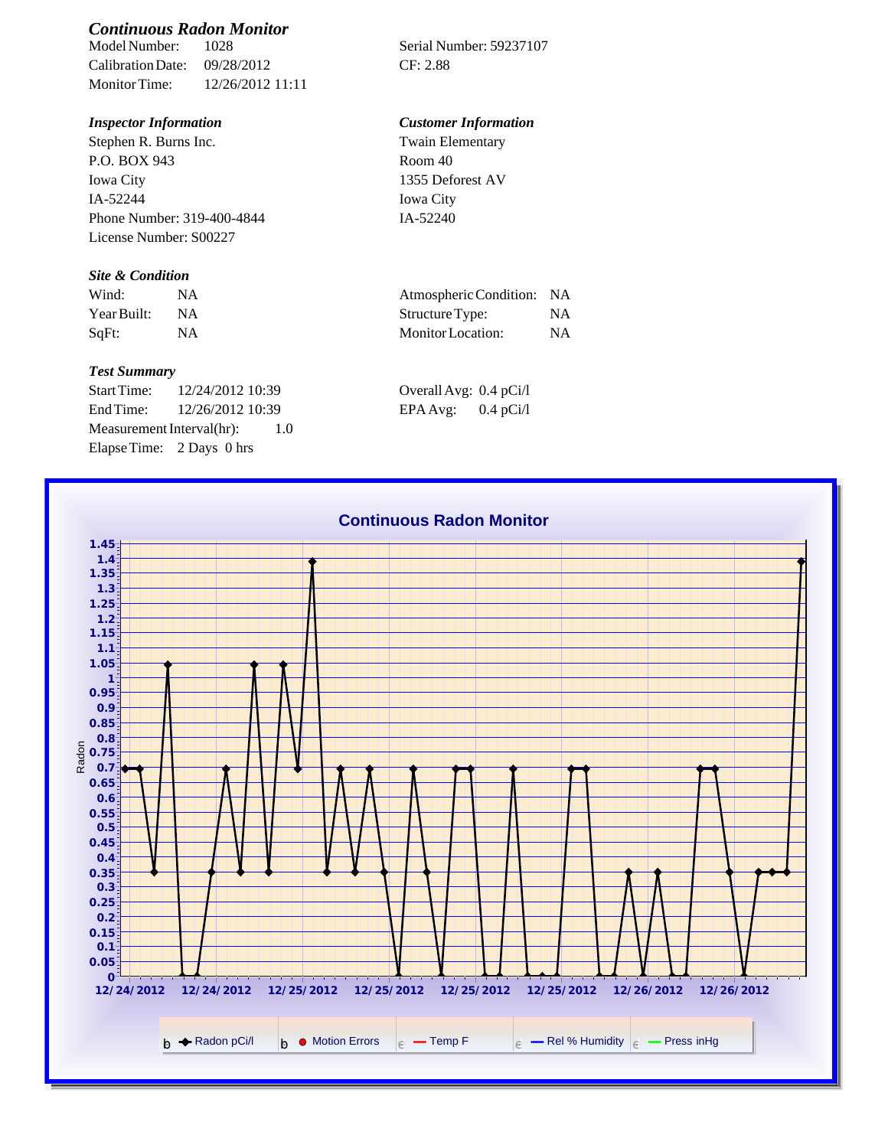# *Continuous Radon Monitor*

Calibration Date: 09/28/2012 CF: 2.88 Monitor Time: 12/26/2012 11:11

Stephen R. Burns Inc. P.O. BOX 943 Iowa City IA-52244 Phone Number: 319-400-4844 License Number: S00227

### *Site & Condition*

| Wind:       |           | Atmospheric Condition: NA |    |
|-------------|-----------|---------------------------|----|
| Year Built: | <b>NA</b> | Structure Type:           |    |
| SqFt:       |           | Monitor Location:         | ΝA |

#### *Test Summary*

Start Time: 12/24/2012 10:39 End Time:  $12/26/2012$  10:39 Measurement Interval(hr): 1.0 Elapse Time: 2 Days 0 hrs

Serial Number: 59237107

## *Inspector Information Customer Information*

Twain Elementary Room 40 1355 Deforest AV Iowa City IA-52240

| Atmospheric Condition:   | <b>NA</b> |
|--------------------------|-----------|
| Structure Type:          | NA.       |
| <b>Monitor</b> Location: | <b>NA</b> |

| Overall Avg: 0.4 pCi/l |             |
|------------------------|-------------|
| EPA Avg:               | $0.4$ pCi/l |

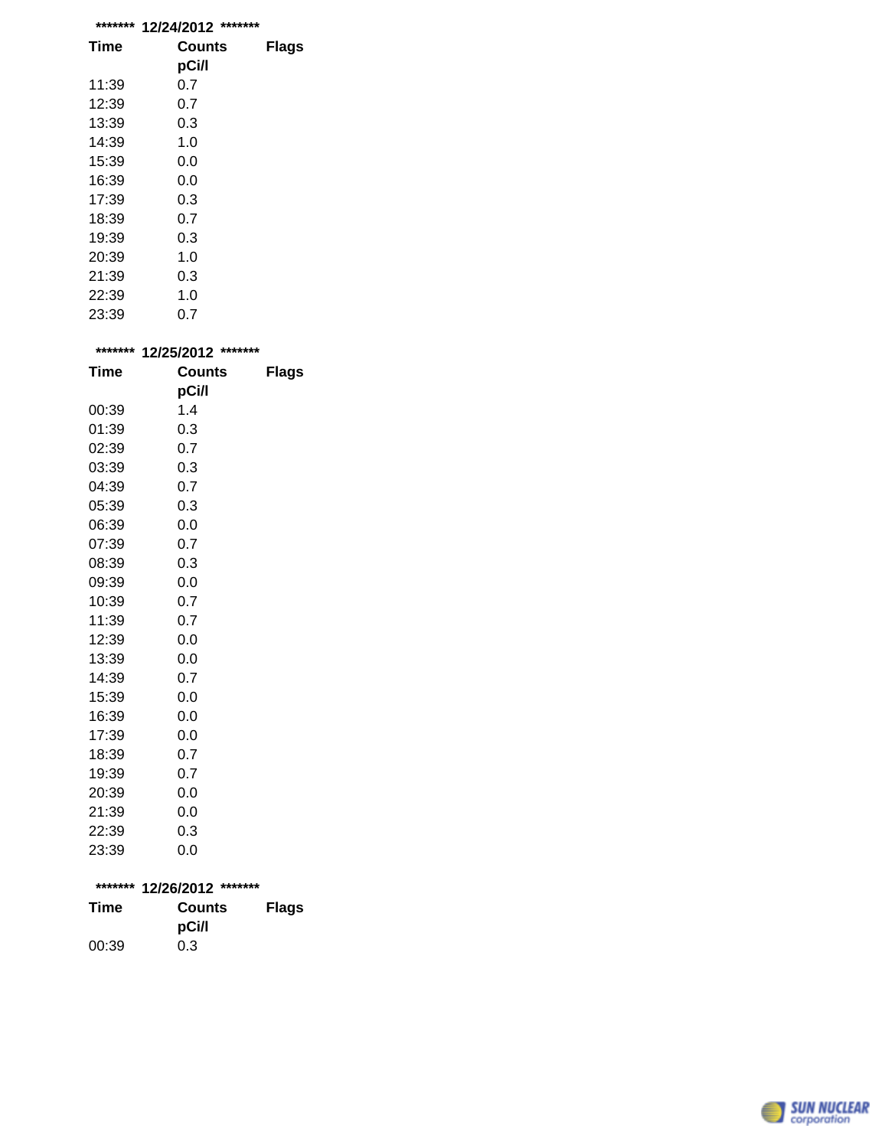| ******* | *******<br>12/24/2012 |              |
|---------|-----------------------|--------------|
| Time    | Counts                | <b>Flags</b> |
|         | pCi/l                 |              |
| 11:39   | 0.7                   |              |
| 12:39   | 0.7                   |              |
| 13:39   | 0.3                   |              |
| 14:39   | 1.0                   |              |
| 15:39   | 0.0                   |              |
| 16:39   | 0.0                   |              |
| 17:39   | 0.3                   |              |
| 18:39   | 0.7                   |              |
| 19:39   | 0.3                   |              |
| 20:39   | 1.0                   |              |
| 21:39   | 0.3                   |              |
| 22:39   | 1.0                   |              |
| 23:39   | 0.7                   |              |

| *******     | *******<br>12/25/2012 |              |
|-------------|-----------------------|--------------|
| <b>Time</b> | <b>Counts</b>         | <b>Flags</b> |
|             | pCi/l                 |              |
| 00:39       | 1.4                   |              |
| 01:39       | 0.3                   |              |
| 02:39       | 0.7                   |              |
| 03:39       | 0.3                   |              |
| 04:39       | 0.7                   |              |
| 05:39       | 0.3                   |              |
| 06:39       | 0.0                   |              |
| 07:39       | 0.7                   |              |
| 08:39       | 0.3                   |              |
| 09:39       | 0.0                   |              |
| 10:39       | 0.7                   |              |
| 11:39       | 0.7                   |              |
| 12:39       | 0.0                   |              |
| 13:39       | 0.0                   |              |
| 14:39       | 0.7                   |              |
| 15:39       | 0.0                   |              |
| 16:39       | 0.0                   |              |
| 17:39       | 0.0                   |              |
| 18:39       | 0.7                   |              |
| 19:39       | 0.7                   |              |
| 20:39       | 0.0                   |              |
| 21:39       | 0.0                   |              |
| 22:39       | 0.3                   |              |
| 23:39       | 0.0                   |              |

|       | ******* 12/26/2012 ******* |              |
|-------|----------------------------|--------------|
| Time  | Counts                     | <b>Flags</b> |
|       | pCi/l                      |              |
| 00:39 | 0.3                        |              |